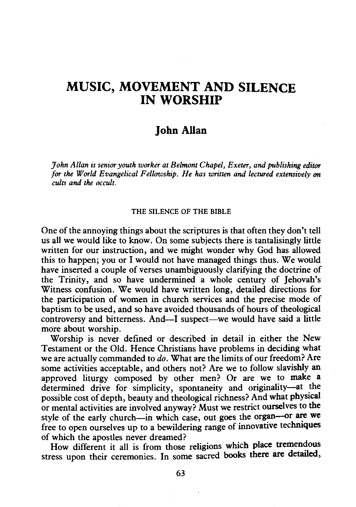# **MUSIC, MOVEMENT AND SILENCE IN WORSHIP**

# **John Allan**

*John Allan is senior youth worker at Belmont Chapel, Exeter, and publishing editor for the World Evangelical Fellowship. He has written and lectured extensively on cults and the occult.* 

### THE SILENCE OF THE BIBLE

One of the annoying things about the scriptures is that often they don't tell us all we would like to know. On some subjects there is tantalisingly little written for our instruction, and we might wonder why God has allowed this to happen; you or I would not have managed things thus. We would have inserted a couple of verses unambiguously clarifying the doctrine of the Trinity, and so have undermined a whole century of Jehovah's Witness confusion. We would have written long, detailed directions for the participation of women in church services and the precise mode of baptism to be used, and so have avoided thousands of hours of theological controversy and bitterness. And-I suspect-we would have said a little more about worship.

Worship is never defined or described in detail in either the New Testament or the Old. Hence Christians have problems in deciding what we are actually commanded to *do.* What are the limits of our freedom? Are some activities acceptable, and others not? Are we to follow slavishly an approved liturgy composed by other men? Or are we to make a determined drive for simplicity, spontaneity and originality-at the possible cost of depth, beauty and theological richness? And what physical or mental activities are involved anyway? Must we restrict ourselves to the style of the early church-in which case, out goes the organ-or are we free to open ourselves up to a bewildering range of innovative techniques of which the apostles never dreamed?

How different it all is from those religions which place tremendous stress upon their ceremonies. In some sacred books there are detailed,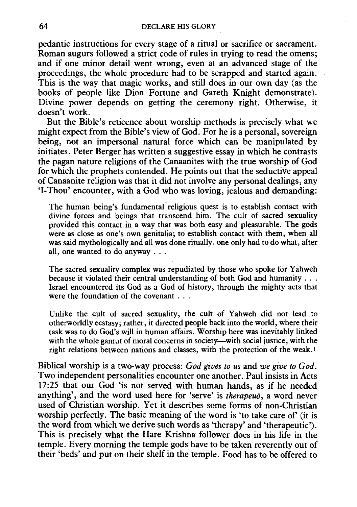pedantic instructions for every stage of a ritual or sacrifice or sacrament. Roman augurs followed a strict code of rules in trying to read the omens; and if one minor detail went wrong, even at an advanced stage of the proceedings, the whole procedure had to be scrapped and started again. This is the way that magic works, and still does in our own day (as the books of people like Dion Fortune and Gareth Knight demonstrate). Divine power depends on getting the ceremony right. Otherwise, it doesn't work.

But the Bible's reticence about worship methods is precisely what we might expect from the Bible's view of God. For he is a personal, sovereign being, not an impersonal natural force which can be manipulated by initiates. Peter Berger has written a suggestive essay in which he contrasts the pagan nature religions of the Canaanites with the true worship of God for which the prophets contended. He points out that the seductive appeal of Canaanite religion was that it did not involve any personal dealings, any 'I-Thou' encounter, with a God who was loving, jealous and demanding:

The human being's fundamental religious quest is to establish contact with divine forces and beings that transcend him. The cult of sacred sexuality provided this contact in a way that was both easy and pleasurable. The gods were as close as one's own genitalia; to establish contact with them, when all was said mythologically and all was done ritually, one only had to do what, after all, one wanted to do anyway ...

The sacred sexuality complex was repudiated by those who spoke for Yahweh because it violated their central understanding of both God and humanity ... Israel encountered its God as a God of history, through the mighty acts that were the foundation of the covenant . . .

Unlike the cult of sacred sexuality, the cult of Yahweh did not lead to otherworldly ecstasy; rather, it directed people back into the world, where their task was to do God's will in human affairs. Worship here was inevitably linked with the whole gamut of moral concerns in society—with social justice, with the right relations between nations and classes, with the protection of the weak. <sup>I</sup>

Biblical worship is a two-way process: *God gives to us* and *we give to God.*  Two independent personalities encounter one another. Paul insists in Acts 17:25 that our God 'is not served with human hands, as if he needed anything', and the word used here for 'serve' is *therapeuo,* a word never used of Christian worship. Yet it describes some forms of non-Christian worship perfectly. The basic meaning of the word is 'to take care of (it is the word from which we derive such words as 'therapy' and 'therapeutic'). This is precisely what the Hare Krishna follower does in his life in the temple. Every morning the temple gods have to be taken reverently out of their 'beds' and put on their shelf in the temple. Food has to be offered to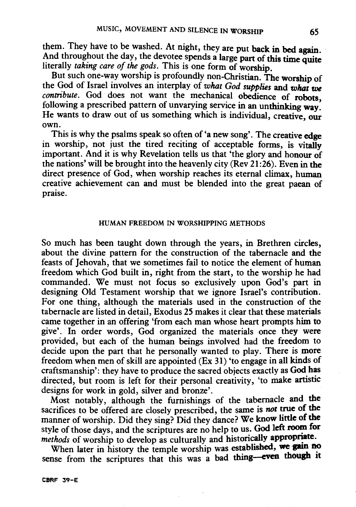them. They have to be washed. At night, they are put back in bed again. And throughout the day, the devotee spends a large part of this time quite literally *taking care of the gods*. This is one form of worship.

But such one-way worship is profoundly non-Christian. The worship of the God of Israel involves an interplay of *what God supplies* and *what* we *contribute*. God does not want the mechanical obedience of robots. following a prescribed pattern of unvarying service in an unthinking way: He wants to draw out of us something which is individual, creative, our own.

This is why the psalms speak so often of 'a new song'. The creative edge in worship, not just the tired reciting of acceptable forms, is vitally important. And it is why Revelation tells us that 'the glory and honour of the nations' will be brought into the heavenly city (Rev 21 :26). Even in the direct presence of God, when worship reaches its eternal climax, human creative achievement can and must be blended into the great paean of praise.

## HUMAN FREEDOM IN WORSHIPPING METHODS

So much has been taught down through the years, in Brethren circles, about the divine pattern for the construction of the tabernacle and the feasts of Jehovah, that we sometimes fail to notice the element of human freedom which God built in, right from the start, to the worship he had commanded. We must not focus so exclusively upon God's part in designing Old Testament worship that we ignore Israel's contribution. For one thing, although the materials used in the construction of the tabernacle are listed in detail, Exodus 25 makes it clear that these materials came together in an offering 'from each man whose heart prompts him to give'. In order words, God organized the materials once they were provided, but each of the human beings involved had the freedom to decide upon the part that he personally wanted to play. There is more freedom when men of skill are appointed (Ex 31) 'to engage in all kinds of craftsmanship': they have to produce the sacred objects exactly as God has directed, but room is left for their personal creativity, 'to make artistic designs for work in gold, silver and bronze'.

Most notably, although the furnishings of the tabernacle and the sacrifices to be offered are closely prescribed, the same is not true of the manner of worship. Did they sing? Did they dance? We know little of the style of those days, and the scriptures are no help to us. God left room for *methods* of worship to develop as culturally and historically appropriate.

When later in history the temple worship was established, we gain no sense from the scriptures that this was a bad thing-even though it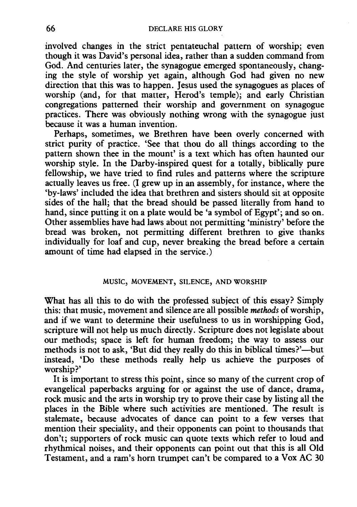involved changes in the strict pentateuchal pattern of worship; even though it was David's personal idea, rather than a sudden command from God. And centuries later, the synagogue emerged spontaneously, changing the style of worship yet again, although God had given no new direction that this was to happen. Jesus used the synagogues as places of worship (and, for that matter, Herod's temple); and early Christian congregations patterned their worship and government on synagogue practices. There was obviously nothing wrong with the synagogue just because it was a human invention.

Perhaps, sometimes, we Brethren have been overly concerned with strict purity of practice. 'See that thou do all things according to the pattern shown thee in the mount' is a text which has often haunted our worship style. In the Darby-inspired quest for a totally, biblically pure fellowship, we have tried to find rules and patterns where the scripture actually leaves us free. (I grew up in an assembly, for instance, where the 'by-laws' included the idea that brethren and sisters should sit at opposite sides of the hall; that the bread should be passed literally from hand to hand, since putting it on a plate would be 'a symbol of Egypt'; and so on. Other assemblies have had laws about not permitting 'ministry' before the bread was broken, not permitting different brethren to give thanks individually for loaf and cup, never breaking the bread before a certain amount of time had elapsed in the service.)

# MUSIC, MOVEMENT, SILENCE, AND WORSHIP

What has all this to do with the professed subject of this essay? Simply this: that music, movement and silence are all possible *methods* of worship, and if we want to determine their usefulness to us in worshipping God, scripture will not help us much directly. Scripture does not legislate about our methods; space is left for human freedom; the way to assess our methods is not to ask, 'But did they really do this in biblical times?'—but instead, 'Do these methods really help us achieve the purposes of worship?'

It is important to stress this point, since so many of the current crop of evangelical paperbacks arguing for or against the use of dance, drama, rock music and the arts in worship try to prove their case by listing all the places in the Bible where such activities are mentioned. The result is stalemate, because advocates of dance can point to a few verses that mention their speciality, and their opponents can point to thousands that don't; supporters of rock music can quote texts which refer to loud and rhythmical noises, and their opponents can point out that this is all Old Testament, and a ram's horn trumpet can't be compared to a Vox AC 30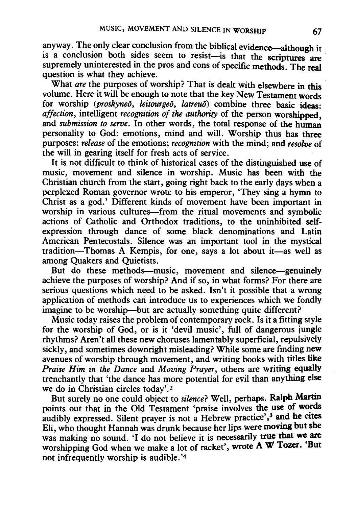anyway. The only clear conclusion from the biblical evidence—although it is a conclusion both sides seem to resist-is that the scriptures are supremely uninterested in the pros and cons of specific methods. The real question is what they achieve.

What *are* the purposes of worship? That is dealt with elsewhere in this volume. Here it will be enough to note that the key New Testament words for worship *(proskyneo, leitourgeo, latreuo)* combine three basic ideas: *affection,* intelligent *recognition of the authority* of the person worshipped and *submission to serve*. In other words, the total response of the human personality to God: emotions, mind and will. Worship thus has three purposes: *release* of the emotions; *recognition* with the mind; and *resolve* of the will in gearing itself for fresh acts of service.

It is not difficult to think of historical cases of the distinguished use of music, movement and silence in worship. Music has been with the Christian church from the start, going right back to the early days when a perplexed Roman governor wrote to his emperor, 'They sing a hymn to Christ as a god.' Different kinds of movement have been important in worship in various cultures--from the ritual movements and symbolic actions of Catholic and Orthodox traditions, to the uninhibited selfexpression through dance of some black denominations and Latin American Pentecostals. Silence was an important tool in the mystical tradition-Thomas A Kempis, for one, says a lot about it-as well as among Quakers and Quietists.

But do these methods—music, movement and silence—genuinely achieve the purposes of worship? And if so, in what forms? For there are serious questions which need to be asked. Isn't it possible that a wrong application of methods can introduce us to experiences which we fondly imagine to be worship—but are actually something quite different?

Music today raises the problem of contemporary rock. Is it a fitting style for the worship of God, or is it 'devil music', full of dangerous jungle rhythms? Aren't all these new choruses lamentably superficial, repulsively sickly, and sometimes downright misleading? While some are finding new avenues of worship through movement, and writing books with titles like *Praise Him in the Dance* and *Moving Prayer,* others are writing equally trenchantly that 'the dance has more potential for evil than anything else we do in Christian circles today'.<sup>2</sup>

But surely no one could object to *silence?* Well, perhaps. Ralph Martin points out that in the Old Testament 'praise involves the use of words audibly expressed. Silent prayer is not a Hebrew practice',<sup>3</sup> and he cites Eli, who thought Hannah was drunk because her lips were moving but she was making no sound. 'I do not believe it is necessarily true that we are worshipping God when we make a lot of racket', wrote A W Tozer. 'But not infrequently worship is audible. '4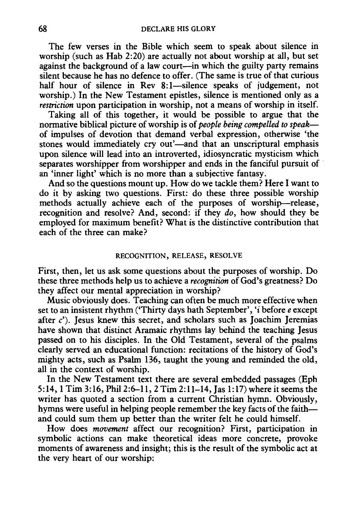The few verses in the Bible which seem to speak about silence in worship (such as Hab 2:20) are actually not about worship at all, but set against the background of a law court-in which the guilty party remains silent because he has no defence to offer. (The same is true of that curious half hour of silence in Rev 8:1-silence speaks of judgement, not worship.) In the New Testament epistles, silence is mentioned only as a *restriction* upon participation in worship, not a means of worship in itself.

Taking all of this together, it would be possible to argue that the normative biblical picture of worship is of *people being compelled to speak*of impulses of devotion that demand verbal expression, otherwise 'the stones would immediately cry out'—and that an unscriptural emphasis upon silence will lead into an introverted, idiosyncratic mysticism which separates worshipper from worshipper and ends in the fanciful pursuit of an 'inner light' which is no more than a subjective fantasy.

And so the questions mount up. How do we tackle them? Here I want to do it by asking two questions. First: do these three possible worship methods actually achieve each of the purposes of worship-release, recognition and resolve? And, second: if they *do,* how should they be employed for maximum benefit? What is the distinctive contribution that each of the three can make?

# RECOGNITION, RELEASE, RESOLVE

First, then, let us ask some questions about the purposes of worship. Do these three methods help us to achieve a *recognition* of God's greatness? Do they affect our mental appreciation in worship?

Music obviously does. Teaching can often be much more effective when set to an insistent rhythm ('Thirty days hath September', 'i before *e* except after  $c'$ ). Jesus knew this secret, and scholars such as Joachim Jeremias have shown that distinct Aramaic rhythms lay behind the teaching Jesus passed on to his disciples. In the Old Testament, several of the psalms clearly served an educational function: recitations of the history of God's mighty acts, such as Psalm 136, taught the young and reminded the old, all in the context of worship.

In the New Testament text there are several embedded passages (Eph 5:14, 1 Tim 3:16, Phil2:6-ll, 2 Tim 2:11-14, Jas 1:17) where it seems the writer has quoted a section from a current Christian hymn. Obviously, hymns were useful in helping people remember the key facts of the faithand could sum them up better than the writer felt he could himself.

How does *movement* affect our recognition? First, participation in symbolic actions can make theoretical ideas more concrete, provoke moments of awareness and insight; this is the result of the symbolic act at the very heart of our worship: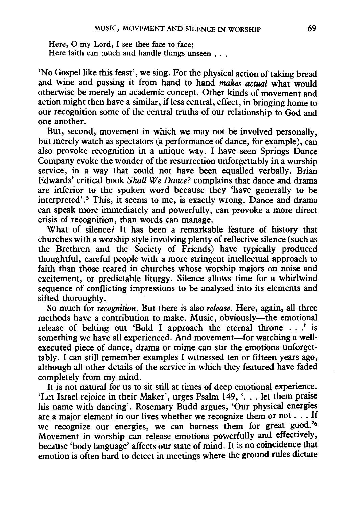Here, 0 my Lord, I see thee face to face; Here faith can touch and handle things unseen ...

'No Gospel like this feast', we sing. For the physical action of taking bread and wine and passing it from hand to hand *makes actual* what would otherwise be merely an academic concept. Other kinds of movement and action might then have a similar, if less central, effect, in bringing home to our recognition some of the central truths of our relationship to God and one another.

But, second, movement in which we may not be involved personally, but merely watch as spectators (a performance of dance, for example), can also provoke recognition in a unique way. I have seen Springs Dance Company evoke the wonder of the resurrection unforgettably in a worship service, in a way that could not have been equalled verbally. Brian Edwards' critical book *Shall We Dance?* complains that dance and drama are inferior to the spoken word because they 'have generally to be interpreted'.<sup>5</sup> This, it seems to me, is exactly wrong. Dance and drama can speak more immediately and powerfully, can provoke a more direct crisis of recognition, than words can manage.

What of silence? It has been a remarkable feature of history that churches with a worship style involving plenty of reflective silence (such as the Brethren and the Society of Friends) have typically produced thoughtful, careful people with a more stringent intellectual approach to faith than those reared in churches whose worship majors on noise and excitement, or predictable liturgy. Silence allows time for a whirlwind sequence of conflicting impressions to be analysed into its elements and sifted thoroughly.

So much for *recognition.* But there is also *release.* Here, again, all three methods have a contribution to make. Music, obviously-the emotional release of belting out 'Bold I approach the eternal throne . . . ' is something we have all experienced. And movement-for watching a wellexecuted piece of dance, drama or mime can stir the emotions unforgettably. I can still remember examples I witnessed ten or fifteen years ago, although all other details of the service in which they featured have faded completely from my mind.

It is not natural for us to sit still at times of deep emotional experience. 'Let Israel rejoice in their Maker', urges Psalm 149, '... let them praise his name with dancing'. Rosemary Budd argues, 'Our physical energies are a major element in our lives whether we recognize them or not . . . If we recognize our energies, we can harness them for great good. ' 6 Movement in worship can release emotions powerfully and effectively, because 'body language' affects our state of mind. It is no coincidence that emotion is often hard to detect in meetings where the ground rules dictate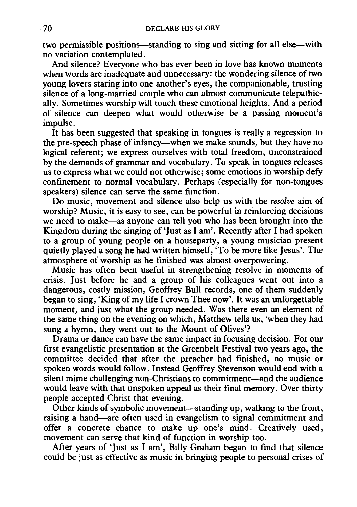two permissible positions—standing to sing and sitting for all else—with no variation contemplated.

And silence? Everyone who has ever been in love has known moments when words are inadequate and unnecessary: the wondering silence of two young lovers staring into one another's eyes, the companionable, trusting silence of a long-married couple who can almost communicate telepathically. Sometimes worship will touch these emotional heights. And a period of silence can deepen what would otherwise be a passing moment's impulse.

It has been suggested that speaking in tongues is really a regression to the pre-speech phase of infancy—when we make sounds, but they have no logical referent; we express ourselves with total freedom, unconstrained by the demands of grammar and vocabulary. To speak in tongues releases us to express what we could not otherwise; some emotions in worship defy confinement to normal vocabulary. Perhaps (especially for non-tongues speakers) silence can serve the same function.

Do music, movement and silence also help us with the *resolve* aim of worship? Music, it is easy to see, can be powerful in reinforcing decisions we need to make-as anyone can tell you who has been brought into the Kingdom during the singing of 'Just as I am'. Recently after I had spoken to a group of young people on a houseparty, a young musician present quietly played a song he had written himself, 'To be more like Jesus'. The atmosphere of worship as he finished was almost overpowering.

Music has often been useful in strengthening resolve in moments of crisis. Just before he and a group of his colleagues went out into a dangerous, costly mission, Geoffrey Bull records, one of them suddenly began to sing, 'King of my life I crown Thee now'. It was an unforgettable moment, and just what the group needed. Was there even an element of the same thing on the evening on which, Matthew tells us, 'when they had sung a hymn, they went out to the Mount of Olives'?

Drama or dance can have the same impact in focusing decision. For our first evangelistic presentation at the Greenbelt Festival two years ago, the committee decided that after the preacher had finished, no music or spoken words would follow. Instead Geoffrey Stevenson would end with a silent mime challenging non-Christians to commitment—and the audience would leave with that unspoken appeal as their final memory. Over thirty people accepted Christ that evening.

Other kinds of symbolic movement-standing up, walking to the front, raising a hand-are often used in evangelism to signal commitment and offer a concrete chance to make up one's mind. Creatively used, movement can serve that kind of function in worship too.

After years of 'Just as I am', Billy Graham began to fmd that silence could be just as effective as music in bringing people to personal crises of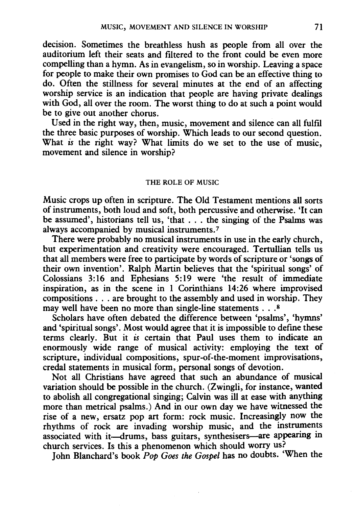decision. Sometimes the breathless hush as people from all over the auditorium left their seats and filtered to the front could be even more compelling than a hymn. As in evangelism, so in worship. Leaving a space for people to make their own promises to God can be an effective thing to do. Often the stillness for several minutes at the end of an affecting worship service is an indication that people are having private dealings with God, all over the room. The worst thing to do at such a point would be to give out another chorus.

Used in the right way, then, music, movement and silence can all fulfil the three basic purposes of worship. Which leads to our second question. What *is* the right way? What limits do we set to the use of music, movement and silence in worship?

### THE ROLE OF MUSIC

Music crops up often in scripture. The Old Testament mentions all sorts of instruments, both loud and soft, both percussive and otherwise. 'It can be assumed', historians tell us, 'that ... the singing of the Psalms was always accompanied by musical instruments. 7

There were probably no musical instruments in use in the early church, but experimentation and creativity were encouraged. Tertullian tells us that all members were free to participate by words of scripture or 'songs of their own invention'. Ralph Martin believes that the 'spiritual songs' of Colossians 3:16 and Ephesians 5:19 were 'the result of immediate inspiration, as in the scene in 1 Corinthians 14:26 where improvised compositions ... are brought to the assembly and used in worship. They may well have been no more than single-line statements . . .<sup>8</sup>

Scholars have often debated the difference between 'psalms', 'hymns' and 'spiritual songs'. Most would agree that it is impossible to defme these terms clearly. But it *is* certain that Paul uses them to indicate an enormously wide range of musical activity: employing the text of scripture, individual compositions, spur-of-the-moment improvisations, credal statements in musical form, personal songs of devotion.

Not all Christians have agreed that such an abundance of musical variation should be possible in the church. (Zwingli, for instance, wanted to abolish all congregational singing; Calvin was ill at ease with anything more than metrical psalms.) And in our own day we have witnessed the rise of a new, ersatz pop art form: rock music. Increasingly now the rhythms of rock are invading worship music, and the instruments associated with it-drums, bass guitars, synthesisers-are appearing in church services. Is this a phenomenon which should worry us?

John Blanchard's book *Pop Goes the Gospel* has no doubts. 'When the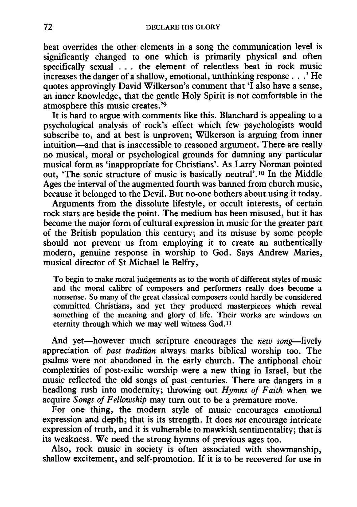beat overrides the other elements in a song the communication level is significantly changed to one which is primarily physical and often specifically sexual . . . the element of relentless beat in rock music increases the danger of a shallow, emotional, unthinking response ... ' He quotes approvingly David Wilkerson's comment that 'I also have a sense, an inner knowledge, that the gentle Holy Spirit is not comfortable in the atmosphere this music creates. '9

It is hard to argue with comments like this. Blanchard is appealing to a psychological analysis of rock's effect which few psychologists would subscribe to, and at best is unproven; Wilkerson is arguing from inner intuition-and that is inaccessible to reasoned argument. There are really no musical, moral or psychological grounds for damning any particular musical form as 'inappropriate for Christians'. As Larry Norman pointed out, 'The sonic structure of music is basically neutral' .10 In the Middle Ages the interval of the augmented fourth was banned from church music, because it belonged to the Devil. But no-one bothers about using it today.

Arguments from the dissolute lifestyle, or occult interests, of certain rock stars are beside the point. The medium has been misused, but it has become the major form of cultural expression in music for the greater part of the British population this century; and its misuse by some people should not prevent us from employing it to create an authentically modern, genuine response in worship to God. Says Andrew Maries, musical director of St Michael le Belfry,

To begin to make moral judgements as to the worth of different styles of music and the moral calibre of composers and performers really does become a nonsense. So many of the great classical composers could hardly be considered committed Christians, and yet they produced masterpieces which reveal something of the meaning and glory of life. Their works are windows on eternity through which we may well witness God.ll

And yet-however much scripture encourages the *new song*-lively appreciation of *past tradition* always marks biblical worship too. The psalms were not abandoned in the early church. The antiphonal choir complexities of post-exilic worship were a new thing in Israel, but the music reflected the old songs of past centuries. There are dangers in a headlong rush into modernity; throwing out *Hymns of Faith* when we acquire *Songs of Fellowship* may turn out to be a premature move.

For one thing, the modern style of music encourages emotional expression and depth; that is its strength. It does *not* encourage intricate expression of truth, and it is vulnerable to mawkish sentimentality; that is its weakness. We need the strong hymns of previous ages too.

Also, rock music in society is often associated with showmanship, shallow excitement, and self-promotion. If it is to be recovered for use in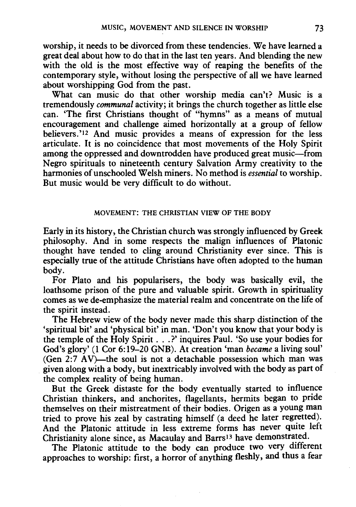worship, it needs to be divorced from these tendencies. We have learned a great deal about how to do that in the last ten years. And blending the new with the old is the most effective way of reaping the benefits of the contemporary style, without losing the perspective of all we have learned about worshipping God from the past.

What can music do that other worship media can't? Music is a tremendously *communal* activity; it brings the church together as little else can. 'The first Christians thought of "hymns" as a means of mutual encouragement and challenge aimed horizontally at a group of fellow believers.'I2 And music provides a means of expression for the less articulate. It is no coincidence that most movements of the Holy Spirit among the oppressed and downtrodden have produced great music-from Negro spirituals to nineteenth century Salvation Army creativity to the harmonies of unschooled Welsh miners. No method is *essential* to worship. But music would be very difficult to do without.

# MOVEMENT: THE CHRISTIAN VIEW OF THE BODY

Early in its history, the Christian church was strongly influenced by Greek philosophy. And in some respects the malign influences of Platonic thought have tended to cling around Christianity ever since. This is especially true of the attitude Christians have often adopted to the human body.

For Plato and his popularisers, the body was basically evil, the loathsome prison of the pure and valuable spirit. Growth in spirituality comes as we de-emphasize the material realm and concentrate on the life of the spirit instead.

The Hebrew view of the body never made this sharp distinction of the 'spiritual bit' and 'physical bit' in man. 'Don't you know that your body is the temple of the Holy Spirit ... ?' inquires Paul. 'So use your bodies for God's glory' (1 Cor 6:19-20 GNB). At creation 'man *became* a living soul' (Gen  $2:7$  AV)—the soul is not a detachable possession which man was given along with a body, but inextricably involved with the body as part of the complex reality of being human.

But the Greek distaste for the body eventually started to influence Christian thinkers, and anchorites, flagellants, hermits began to pride themselves on their mistreatment of their bodies. Origen as a young man tried to prove his zeal by castrating himself (a deed he later regretted). And the Platonic attitude in less extreme forms has never quite left Christianity alone since, as Macaulay and Barrs<sup>13</sup> have demonstrated.

The Platonic attitude to the body can produce two very different approaches to worship: first, a horror of anything fleshly, and thus a fear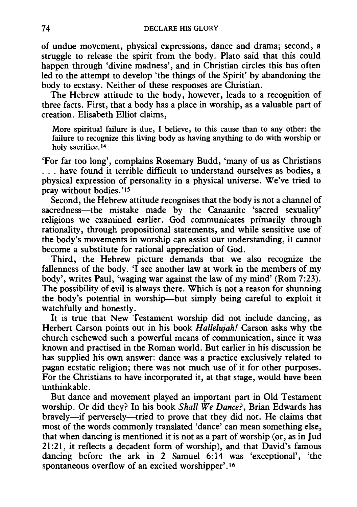of undue movement, physical expressions, dance and drama; second, a struggle to release the spirit from the body. Plato said that this could happen through 'divine madness', and in Christian circles this has often led to the attempt to develop 'the things of the Spirit' by abandoning the body to ecstasy. Neither of these responses are Christian.

The Hebrew attitude to the body, however, leads to a recognition of three facts. First, that a body has a place in worship, as a valuable part of creation. Elisabeth Elliot claims,

More spiritual failure is due, I believe, to this cause than to any other: the failure to recognize this living body as having anything to do with worship or holy sacrifice.<sup>14</sup>

'For far too long', complains Rosemary Budd, 'many of us as Christians ... have found it terrible difficult to understand ourselves as bodies, a physical expression of personality in a physical universe. We've tried to pray without bodies.'<sup>15</sup>

Second, the Hebrew attitude recognises that the body is not a channel of sacredness—the mistake made by the Canaanite 'sacred sexuality' religions we examined earlier. God communicates primarily through rationality, through propositional statements, and while sensitive use of the body's movements in worship can assist our understanding, it cannot become a substitute for rational appreciation of God.

Third, the Hebrew picture demands that we also recognize the fallenness of the body. 'I see another law at work in the members of my body', writes Paul, 'waging war against the law of my mind' (Rom 7:23). The possibility of evil is always there. Which is not a reason for shunning the body's potential in worship-but simply being careful to exploit it watchfully and honestly.

It is true that New Testament worship did not include dancing, as Herbert Carson points out in his book *Hallelujah!* Carson asks why the church eschewed such a powerful means of communication, since it was known and practised in the Roman world. But earlier in his discussion he has supplied his own answer: dance was a practice exclusively related to pagan ecstatic religion; there was not much use of it for other purposes. For the Christians to have incorporated it, at that stage, would have been unthinkable.

But dance and movement played an important part in Old Testament worship. Or did they? In his book *Shall We Dance?,* Brian Edwards has bravely-if perversely-tried to prove that they did not. He claims that most of the words commonly translated 'dance' can mean something else, that when dancing is mentioned it is not as a part of worship (or, as in Jud 21:21, it reflects a decadent form of worship), and that David's famous dancing before the ark in 2 Samuel 6:14 was 'exceptional', 'the spontaneous overflow of an excited worshipper'.<sup>16</sup>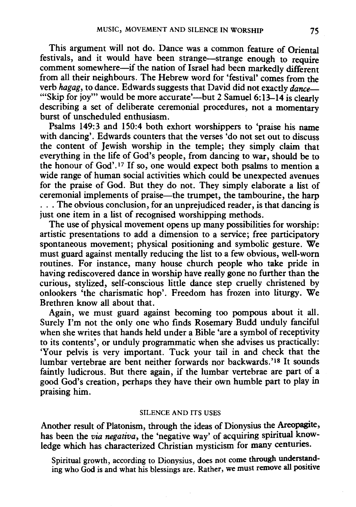This argument will not do. Dance was a common feature of Oriental festivals, and it would have been strange-strange enough to require comment somewhere-if the nation of Israel had been markedly different from all their neighbours. The Hebrew word for 'festival' comes from the verb *hagag,* to dance. Edwards suggests that David did not exactly *dance-* "Skip for joy" would be more accurate'—but 2 Samuel 6:13-14 is clearly describing a set of deliberate ceremonial procedures, not a momentary burst of unscheduled enthusiasm.

Psalms 149:3 and 150:4 both exhort worshippers to 'praise his name with dancing'. Edwards counters that the verses 'do not set out to discuss the content of Jewish worship in the temple; they simply claim that everything in the life of God's people, from dancing to war, should be to the honour of God' .17 If so, one would expect both psalms to mention a wide range of human social activities which could be unexpected avenues for the praise of God. But they do not. They simply elaborate a list of ceremonial implements of praise—the trumpet, the tambourine, the harp ... The obvious conclusion, for an unprejudiced reader, is that dancing is just one item in a list of recognised worshipping methods.

The use of physical movement opens up many possibilities for worship: artistic presentations to add a dimension to a service; free participatory spontaneous movement; physical positioning and symbolic gesture. We must guard against mentally reducing the list to a few obvious, well-worn routines. For instance, many house church people who take pride in having rediscovered dance in worship have really gone no further than the curious, stylized, self-conscious little dance step cruelly christened by onlookers 'the charismatic hop'. Freedom has frozen into liturgy. We Brethren know all about that.

Again, we must guard against becoming too pompous about it all. Surely I'm not the only one who finds Rosemary Budd unduly fanciful when she writes that hands held under a Bible 'are a symbol of receptivity to its contents', or unduly programmatic when she advises us practically: 'Your pelvis is very important. Tuck your tail in and check that the lumbar vertebrae are bent neither forwards nor backwards.'Is It sounds faintly ludicrous. But there again, if the lumbar vertebrae are part of a good God's creation, perhaps they have their own humble part to play in praising him.

#### SILENCE AND ITS USES

Another result of Platonism, through the ideas of Dionysius the Areopagite, has been the *via negativa*, the 'negative way' of acquiring spiritual knowledge which has characterized Christian mysticism for many centuries.

Spiritual growth, according to Dionysius, does not come through understanding who God is and what his blessings are. Rather, we must remove all positive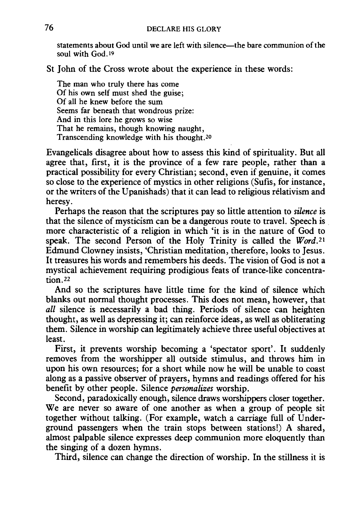statements about God until we are left with silence—the bare communion of the soul with God.<sup>19</sup>

St John of the Cross wrote about the experience in these words:

The man who truly there has come Of his own self must shed the guise; Of all he knew before the sum Seems far beneath that wondrous prize: And in this lore he grows so wise That he remains, though knowing naught, Transcending knowledge with his thought.<sup>20</sup>

Evangelicals disagree about how to assess this kind of spirituality. But all agree that, first, it is the province of a few rare people, rather than a practical possibility for every Christian; second, even if genuine, it comes so close to the experience of mystics in other religions (Sufis, for instance, or the writers of the Upanishads) that it can lead to religious relativism and heresy.

Perhaps the reason that the scriptures pay so little attention to *silence* is that the silence of mysticism can be a dangerous route to travel. Speech is more characteristic of a religion in which 'it is in the nature of God to speak. The second Person of the Holy Trinity is called the  $Word$ .<sup>21</sup> Edmund Clowney insists, 'Christian meditation, therefore, looks to Jesus. It treasures his words and remembers his deeds. The vision of God is not a mystical achievement requiring prodigious feats of trance-like concentration.22

And so the scriptures have little time for the kind of silence which blanks out normal thought processes. This does not mean, however, that *all* silence is necessarily a bad thing. Periods of silence can heighten thought, as well as depressing it; can reinforce ideas, as well as obliterating them. Silence in worship can legitimately achieve three useful objectives at least.

First, it prevents worship becoming a 'spectator sport'. It suddenly removes from the worshipper all outside stimulus, and throws him in upon his own resources; for a short while now he will be unable to coast along as a passive observer of prayers, hymns and readings offered for his benefit by other people. Silence *personalizes* worship.

Second, paradoxically enough, silence draws worshippers closer together. We are never so aware of one another as when a group of people sit together without talking. (For example, watch a carriage full of Underground passengers when the train stops between stations!) A shared, almost palpable silence expresses deep communion more eloquently than the singing of a dozen hymns.

Third, silence can change the direction of worship. In the stillness it is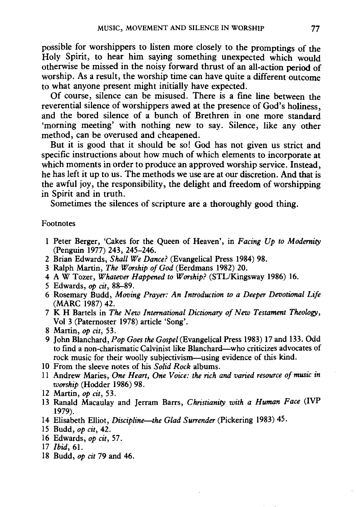possible for worshippers to listen more closely to the promptings of the Holy Spirit, to hear him saying something unexpected which would otherwise be missed in the noisy forward thrust of an all-action period of worship. As a result, the worship time can have quite a different outcome to what anyone present might initially have expected.

Of course, silence can be misused. There is a fine line between the reverential silence of worshippers awed at the presence of God's holiness, and the bored silence of a bunch of Brethren in one more standard 'morning meeting' with nothing new to say. Silence, like any other method, can be overused and cheapened.

But it is good that it should be so! God has not given us strict and specific instructions about how much of which elements to incorporate at which moments in order to produce an approved worship service. Instead, he has left it up to us. The methods we use are at our discretion. And that is the awful joy, the responsibility, the delight and freedom of worshipping in Spirit and in truth.

Sometimes the silences of scripture are a thoroughly good thing.

#### Footnotes

- 1 Peter Berger, 'Cakes for the Queen of Heaven', in *Facing Up to Modernity*  (Penguin 1977) 243, 245-246.
- 2 Brian Edwards, *Shall We Dance?* (Evangelical Press 1984) 98.
- 3 Ralph Martin, *The Worship of God* (Eerdmans 1982) 20.
- 4 A W Tozer, *Whatever Happened to Worship?* (STL/Kingsway 1986) 16.
- 5 Edwards, *op cit,* 88-89.
- 6 Rosemary Budd, *Moving Prayer: An Introduction to a Deeper Devotional Life*  (MARC 1987) 42.
- 7 K H Bartels in *The New International Dictionary of New Testament Theology,*  Vol 3 (Paternoster 1978) article 'Song'.
- 8 Martin, *op cit,* 53.
- 9 John Blanchard, *Pop Goes the Gospel* (Evangelical Press 1983) 17 and 133. Odd to find a non-charismatic Calvinist like Blanchard-who criticizes advocates of rock music for their woolly subjectivism—using evidence of this kind.
- 10 From the sleeve notes of his *Solid Rock* albums.
- 11 Andrew Maries, *One Heart, One Voice: the rich and varied resource of music in worship* (Hodder 1986) 98.
- 12 Martin, *op cit,* 53.
- 13 Ranald Macaulay and Jerram Barrs, *Christianity with a Human Face* (IVP 1979).
- 14 Elisabeth Elliot, *Discipline-the Glad Surrender* (Pickering 1983) 45.
- 15 Budd, *op cit,* 42.
- 16 Edwards, *op cit,* 57.
- 17 /bid, 61.
- 18 Budd, *op cit* 79 and 46.